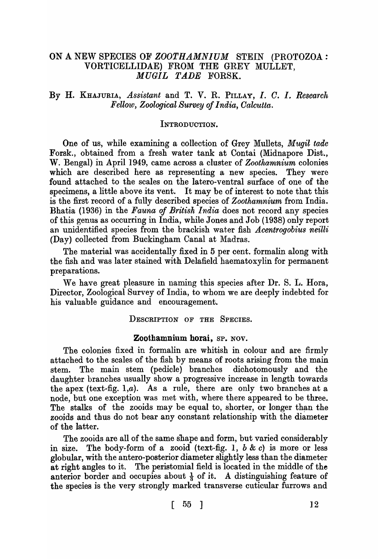# ON A NEW SPECIES OF *ZOOTHAMNIUM* STEIN (PROTOZOA: VORTICELLIDAE) FROM THE GREY MULLET, *MUGIL TADE* FORSK.

## By H. KHAJURIA, *Assistant* and T. V. R. PILLAY, *I. O.* I. *Research Fellow, Zoological Survey of India, Oalcutta.*

#### INTRODUCTION.

One of us, while examining a collection of Grey Mullets, *Mugil tade*  Forsk., obtained from a fresh water tank at Contai (Midnapore Dist., W. Bengal) in April 1949, came across a cluster of *Zoothamnium* colonies which are described here as representing a new species. They were found attached to the scales on the latero-ventral surface of one of the specimens, a little above its vent. It may be of interest to note that this is the first record of a fully described species of *Zoothamnium* from India. Bhatia (1936) in the *Fauna of British India* does not record any species of this genus as occurring in India, while Jones and Job (1938) only report an unidentified species from the brackish water fish *Acentrogobius neilli* (Day) collected from Buckingham Canal at Madras.

The material was accidentally fixed in 5 per cent. formalin along with the fish and was later stained with Delafield haematoxylin for permanent preparations.

We have great pleasure in naming this species after Dr. S. L. Hora, Director, Zoological Survey of India, to whom we are deeply indebted for his valuable guidance and encouragement.

### DESCRIPTION OF THE SPECIES.

#### Zoothamnium horai, SP. NOV.

The colonies fixed in formalin are whitish in colour and are firmly attached to the scales of the fish by means of roots arising from the main stem. The main stem (pedicle) branches dichotomously and the daughter branches usually show a progressive increase in length towards the apex (text-fig. 1,a). As a rule, there are only two branches at a node, but one exception was met with, where there appeared to be three. The stalks of the zooids may be equal to, shorter, or longer than the zooids and thus do not bear any constant relationship with the diameter of the latter.

The zooids are all of the same shape and form, but varied considerably in size. The body-form of a zooid (text-fig. 1,  $b \& c$ ) is more or less globular, with the antero-posterior diameter slightly less than the diameter at right angles to it. The peristomial field is located in the middle of the anterior border and occupies about  $\frac{1}{3}$  of it. A distinguishing feature of the species is the very strongly marked transverse cuticular furrows and

 $\lceil \begin{array}{c} 55 \\ 12 \end{array} \rceil$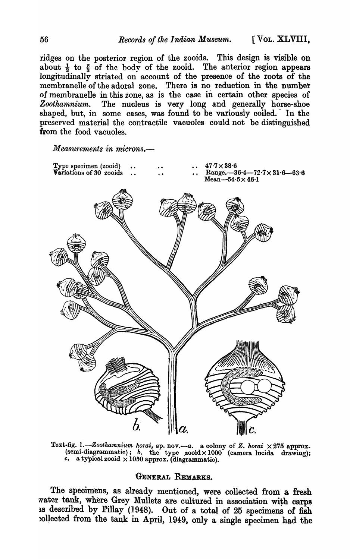ridges on the posterior region of the zooids. This design is visible on about  $\frac{1}{2}$  to  $\frac{2}{3}$  of the body of the zooid. The anterior region appears longitudinally striated on account of the presence of the roots of the membranelle of the adoral zone. There is no reduction in the number of membranelle in this zone, as is the case in certain other species of *Zoothamnium.* The nucleus is very long and generally horse-shoe shaped, but, in some cases, was found to be variously coiled. In the preserved material the contractile vacuoles could not be distinguished from the food vacuoles.

*Measurements in microns.-*



Text-fig. 1.-Zoothamnium horai, sp. nov.--a. a colony of Z. horai  $\times 275$  approx. (semi-diagrammatic); *b*. the type  $\text{zoold} \times 1000$  (camera lucida drawing); c. a typical zooid  $\times 1050$  approx. (diagrammatic).

## GENERAL REMARKS.

The specimens, as already mentioned, were collected from a fresh water tank, where Grey Mullets are cultured in association with carps as described by Pillay (1948). Out of a total of 25 specimens of fish ~o1Jected from the tank in April, 1949, only a single specimen had the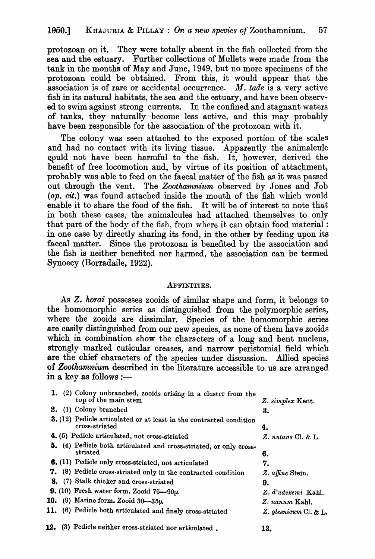protozoan on it. They were totally absent in the fish collected from the sea and the estuary. Further collections of Mullets were made from the tank in the months of May and June, 1949, but no more specimens of the protozoan could be obtained. From this, it would appear that the association is of rare or accidental occurrence. *M. tade* is a very active fish in its natural habitats, the sea and the estuary, and have been observed to swim against strong currents. In the confined and stagnant waters of tanks, they naturally become less active, and this may probably have been responsible for the association of the protozoan with it.

The colony was seen attached to the exposed portion of the scales and had no contact with its living tissue. Apparently the animalcule gould not have been harmful to the fish. It, however, derived the benefit of free locomotion and, by virtue of its position of attachment, probably was able to feed on the faecal matter of the fish as it was passed out through the vent. The *Zoothamnium* observed by Jones and Job *(op. cit.)* was found attached inside the mouth of the fish which would enable it to share the food of the fish. It wiIf be of interest to note that in both these cases, the animalcules had attached themselves to only that part of the body of the fish, from where it can obtain food material: in one case by directly sharing its food, in the other by feeding upon its faecal matter. Since the protozoan is benefited by the association and the fish is neither benefited nor harmed, the association can be termed Synoecy (Borradaile, 1922).

#### AFFINITIES.

As Z. *horai* possesses zooids of similar shape and form, it belongs to the homomorphic series as distinguished from the polymorphic series, where the zooids are dissimilar. Species of the homomorphic series are easily distinguished from our new species, as none of them have zooids which in combination show the characters of a long and bent nucleus, strongly.marked cuticular creases, and narrow peristomial field which are the chief characters of the species under discussion. Allied species of *Zoothamnium* described in the literature accessible to. us are arranged in a key as follows :-

| 12. | (3) Pedicle neither cross-striated nor articulated.                                    | 13.                      |
|-----|----------------------------------------------------------------------------------------|--------------------------|
|     | 11. (6) Pedicle both articulated and finely cross-striated                             | Z. glesnicum Cl. $\&$ L. |
| 10. | (9) Marine form. Zooid $30-35\mu$                                                      | Z. nanum Kahl.           |
|     | 9. (10) Fresh water form. Zooid $76 - 90\mu$                                           | Z. d'udekemi Kahl.       |
|     | 8. (7) Stalk thicker and cross-striated                                                | 9.                       |
|     | 7. (8) Pedicle cross-striated only in the contracted condition                         | Z. affine Stein.         |
|     | 6. (11) Pedicle only cross-striated, not articulated                                   | 7.                       |
|     | 5. (4) Pedicle both articulated and cross-striated, or only cross-<br>striated         | 6.                       |
|     | 4. (5) Pedicle articulated, not cross-striated                                         | $Z$ , nutans Cl. & L.    |
|     | 3. (12) Pedicle articulated or at least in the contracted condition<br>cross-striated  | 4.                       |
|     | 2. (1) Colony branched                                                                 | 3.                       |
|     | 1. (2) Colony unbranched, zooids arising in a cluster from the<br>top of the main stem | Z. simplex Kent.         |